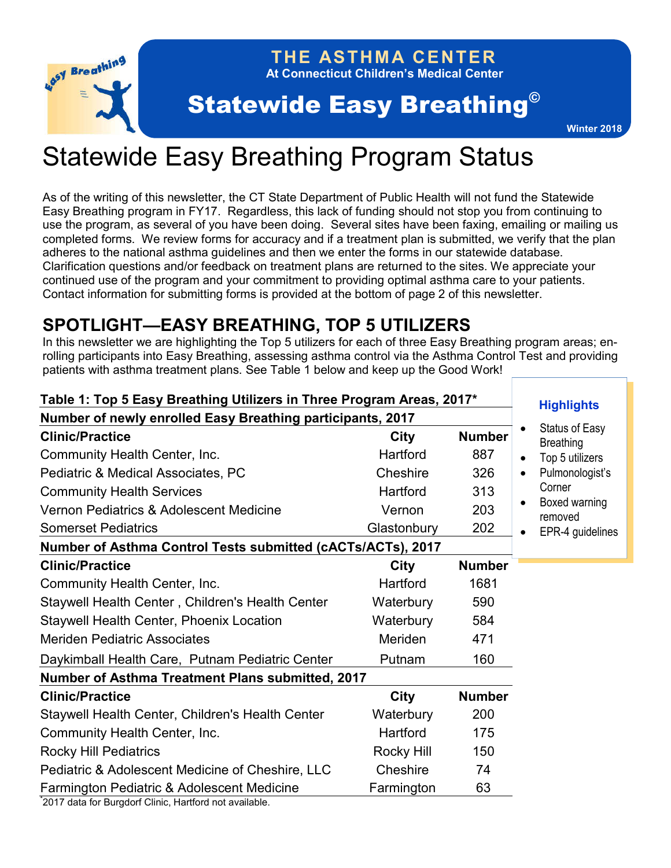

# **THE ASTHMA CENTER**

**At Connecticut Children's Medical Center**

# Statewide Easy Breathing<sup>®</sup>

# Statewide Easy Breathing Program Status

As of the writing of this newsletter, the CT State Department of Public Health will not fund the Statewide Easy Breathing program in FY17. Regardless, this lack of funding should not stop you from continuing to use the program, as several of you have been doing. Several sites have been faxing, emailing or mailing us completed forms. We review forms for accuracy and if a treatment plan is submitted, we verify that the plan adheres to the national asthma guidelines and then we enter the forms in our statewide database. Clarification questions and/or feedback on treatment plans are returned to the sites. We appreciate your continued use of the program and your commitment to providing optimal asthma care to your patients. Contact information for submitting forms is provided at the bottom of page 2 of this newsletter.

# **SPOTLIGHT—EASY BREATHING, TOP 5 UTILIZERS**

In this newsletter we are highlighting the Top 5 utilizers for each of three Easy Breathing program areas; enrolling participants into Easy Breathing, assessing asthma control via the Asthma Control Test and providing patients with asthma treatment plans. See Table 1 below and keep up the Good Work!

| Table 1: Top 5 Easy Breathing Utilizers in Three Program Areas, 2017* |             |               | <b>Highlights</b>                         |
|-----------------------------------------------------------------------|-------------|---------------|-------------------------------------------|
| Number of newly enrolled Easy Breathing participants, 2017            |             |               |                                           |
| <b>Clinic/Practice</b>                                                | <b>City</b> | <b>Number</b> | <b>Status of Easy</b><br><b>Breathing</b> |
| Community Health Center, Inc.                                         | Hartford    | 887           | Top 5 utilizers                           |
| Pediatric & Medical Associates, PC                                    | Cheshire    | 326           | Pulmonologist's                           |
| <b>Community Health Services</b>                                      | Hartford    | 313           | Corner                                    |
| Vernon Pediatrics & Adolescent Medicine                               | Vernon      | 203           | Boxed warning<br>removed                  |
| <b>Somerset Pediatrics</b>                                            | Glastonbury | 202           | EPR-4 guidelines                          |
| Number of Asthma Control Tests submitted (cACTs/ACTs), 2017           |             |               |                                           |
| <b>Clinic/Practice</b>                                                | City        | <b>Number</b> |                                           |
| Community Health Center, Inc.                                         | Hartford    | 1681          |                                           |
| Staywell Health Center, Children's Health Center                      | Waterbury   | 590           |                                           |
| Staywell Health Center, Phoenix Location                              | Waterbury   | 584           |                                           |
| <b>Meriden Pediatric Associates</b>                                   | Meriden     | 471           |                                           |
| Daykimball Health Care, Putnam Pediatric Center                       | Putnam      | 160           |                                           |
| <b>Number of Asthma Treatment Plans submitted, 2017</b>               |             |               |                                           |
| <b>Clinic/Practice</b>                                                | <b>City</b> | <b>Number</b> |                                           |
| Staywell Health Center, Children's Health Center                      | Waterbury   | 200           |                                           |
| Community Health Center, Inc.                                         | Hartford    | 175           |                                           |
| <b>Rocky Hill Pediatrics</b>                                          | Rocky Hill  | 150           |                                           |
| Pediatric & Adolescent Medicine of Cheshire, LLC                      | Cheshire    | 74            |                                           |
| Farmington Pediatric & Adolescent Medicine                            | Farmington  | 63            |                                           |
| 2017 data for Burgdorf Clinic, Hartford not available.                |             |               |                                           |